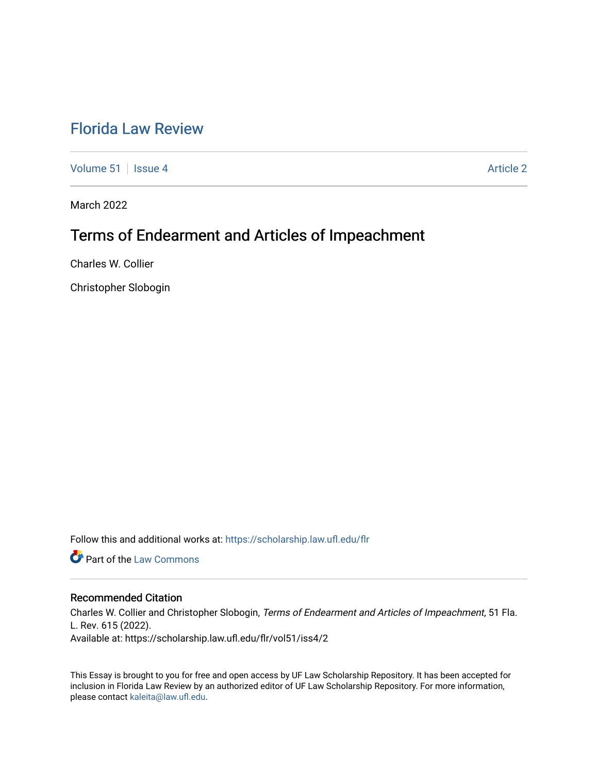# [Florida Law Review](https://scholarship.law.ufl.edu/flr)

[Volume 51](https://scholarship.law.ufl.edu/flr/vol51) | [Issue 4](https://scholarship.law.ufl.edu/flr/vol51/iss4) Article 2

March 2022

# Terms of Endearment and Articles of Impeachment

Charles W. Collier

Christopher Slobogin

Follow this and additional works at: [https://scholarship.law.ufl.edu/flr](https://scholarship.law.ufl.edu/flr?utm_source=scholarship.law.ufl.edu%2Fflr%2Fvol51%2Fiss4%2F2&utm_medium=PDF&utm_campaign=PDFCoverPages)

**Part of the [Law Commons](https://network.bepress.com/hgg/discipline/578?utm_source=scholarship.law.ufl.edu%2Fflr%2Fvol51%2Fiss4%2F2&utm_medium=PDF&utm_campaign=PDFCoverPages)** 

# Recommended Citation

Charles W. Collier and Christopher Slobogin, Terms of Endearment and Articles of Impeachment, 51 Fla. L. Rev. 615 (2022). Available at: https://scholarship.law.ufl.edu/flr/vol51/iss4/2

This Essay is brought to you for free and open access by UF Law Scholarship Repository. It has been accepted for inclusion in Florida Law Review by an authorized editor of UF Law Scholarship Repository. For more information, please contact [kaleita@law.ufl.edu](mailto:kaleita@law.ufl.edu).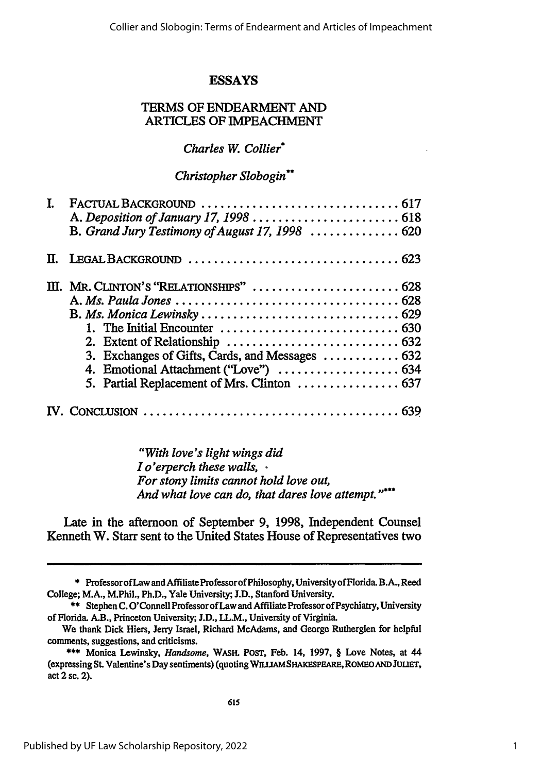# **ESSAYS**

# TERMS OF ENDEARMENT AND ARTICLES OF IMPEACHMENT

# *Charles W. Collier\**

# *Christopher Slobogin\*\**

| L |                                                                                               |
|---|-----------------------------------------------------------------------------------------------|
|   | B. Grand Jury Testimony of August 17, 1998  620                                               |
|   |                                                                                               |
|   | III. MR. CLINTON'S "RELATIONSHIPS"  628                                                       |
|   |                                                                                               |
|   |                                                                                               |
|   | 1. The Initial Encounter $\ldots \ldots \ldots \ldots \ldots \ldots \ldots \ldots \ldots$ 630 |
|   |                                                                                               |
|   | 3. Exchanges of Gifts, Cards, and Messages  632                                               |
|   | 4. Emotional Attachment ("Love")  634                                                         |
|   | 5. Partial Replacement of Mrs. Clinton  637                                                   |
|   |                                                                                               |

*"With love's light wings did I o'erperch these walls, • For stony limits cannot hold love out, And what love can do, that dares love attempt."\*\*\**

Late in the afternoon of September **9, 1998,** Independent Counsel Kenneth W. Starr sent to the United States House of Representatives two

**<sup>\*</sup>** ProfessorofLaw and Affiliate ProfessorofPhilosophy, UniversityofFlorida. B.A., Reed College; M.A., M.Phil., Ph.D., Yale University; **J.D.,** Stanford University.

**<sup>\*\*</sup>** Stephen C. O'Connell Professor of Law and Affiliate Professor of Psychiatry, University of Florida. A.B., Princeton University; **J.D.,** LL.M., University of Virginia.

We thank Dick Hiers, Jerry Israel, Richard McAdams, and George Rutherglen for helpful comments, suggestions, and criticisms.

**<sup>\*\*\*</sup>** Monica Lewinsky, *Handsome,* **WASH.** POST, Feb. 14, **1997, §** Love Notes, at 44 (expressing **St.** Valentine's Day sentiments) (quoting **WILUAMSHAKEPEARE,ROMEOANDJULIET,** act 2 sc. 2).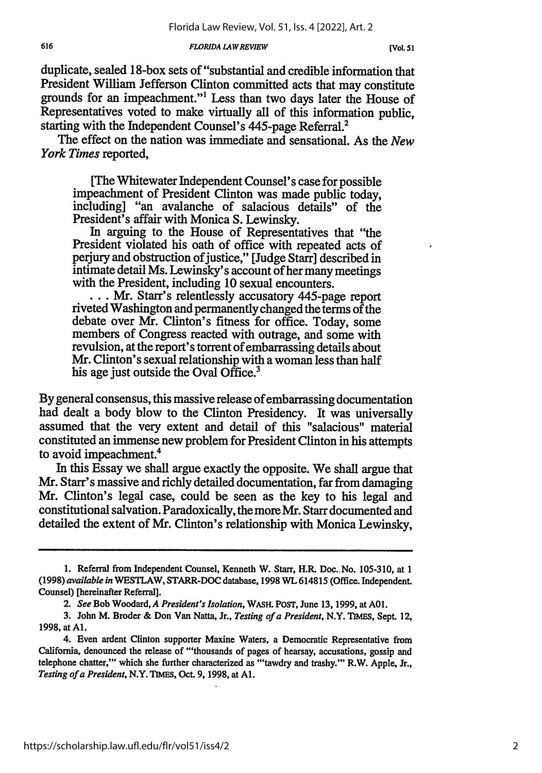duplicate, sealed 18-box sets of "substantial and credible information that President William Jefferson Clinton committed acts that may constitute grounds for an impeachment."1 Less than two days later the House of Representatives voted to make virtually all of this information public, starting with the Independent Counsel's 445-page Referral.<sup>2</sup>

The effect on the nation was immediate and sensational. As the *New York Times* reported,

[The Whitewater Independent Counsel's case for possible impeachment of President Clinton was made public today, including] "an avalanche of salacious details" of the President's affair with Monica S. Lewinsky.

In arguing to the House of Representatives that "the President violated his oath of office with repeated acts of perjury and obstruction of justice," [Judge Starr] described in intimate detail Ms. Lewinsky's account of her many meetings

with the President Starr's relentlessly accusatory 445-page report riveted Washington and permanently changed the terms of the debate over Mr. Clinton's fitness for office. Today, some members of Congress reacted with outrage, and some with revulsion, at the report's torrent of embarrassing details about Mr. Clinton's sexual relationship with a woman less than half his age just outside the Oval Office.<sup>3</sup>

By general consensus, this massive release of embarrassing documentation had dealt a body blow to the Clinton Presidency. It was universally assumed that the very extent and detail of this "salacious" material constituted an immense new problem for President Clinton in his attempts to avoid impeachment.'

In this Essay we shall argue exactly the opposite. We shall argue that Mr. Starr's massive and richly detailed documentation, far from damaging Mr. Clinton's legal case, could be seen as the key to his legal and constitutional salvation. Paradoxically, the more Mr. Starr documented and detailed the extent of Mr. Clinton's relationship with Monica Lewinsky,

<sup>1.</sup> Referral from Independent Counsel, Kenneth W. Starr, H.R. Doc..No. 105-310, at 1 (1998) *available in* WESTLAW, STARR-DOC database, 1998 WL 614815 (Office. Independent. Counsel) [hereinafter Referral].

*<sup>2.</sup> See* Bob Woodard, *A President's Isolation,* WASH. PosT, June 13, 1999, at **A01.**

<sup>3.</sup> John M. Broder & Don Van Natta, Jr., *Testing of a President,* N.Y. TIMES, Sept. 12, 1998, at **Al.**

<sup>4.</sup> Even ardent Clinton supporter Maxine Waters, a Democratic Representative from California, denounced the release of "'thousands of pages of hearsay, accusations, gossip and telephone chatter,"' which she further characterized as "'tawdry and trashy."' R.W. Apple, Jr., *Testing of a President,* N.Y. **TIMES,** Oct. 9, 1998, at **Al.**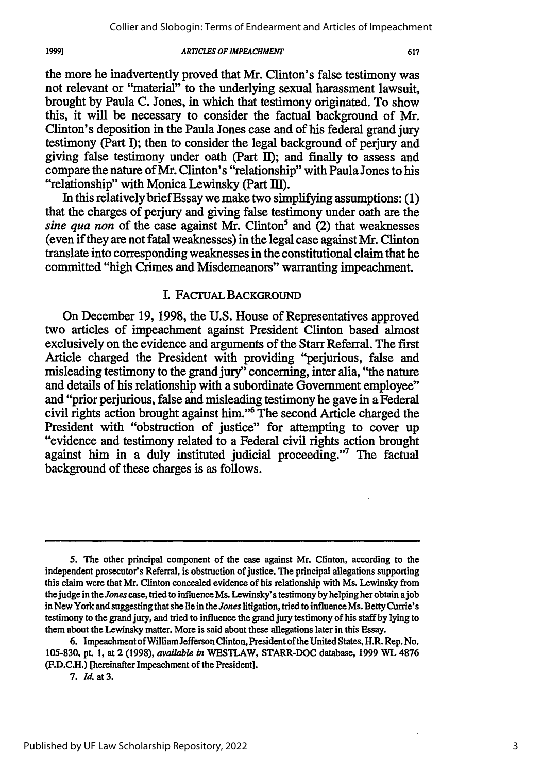617

the more he inadvertently proved that Mr. Clinton's false testimony was not relevant or "material" to the underlying sexual harassment lawsuit, brought **by** Paula **C.** Jones, in which that testimony originated. To show this, it **will** be necessary to consider the factual background of Mr. Clinton's deposition in the Paula Jones case and of his federal grand jury testimony (Part **1);** then to consider the legal background of perjury and giving false testimony under oath (Part II); and finally to assess and compare the nature of Mr. Clinton's "relationship" with Paula Jones to his "relationship" with Monica Lewinsky (Part III).

In this relatively brief Essay we make two simplifying assumptions: **(1)** that the charges of perjury and giving false testimony under oath are the *sine qua non* of the case against Mr. Clinton<sup>5</sup> and (2) that weaknesses (even if they are not fatal weaknesses) in the legal case against Mr. Clinton translate into corresponding weaknesses in the constitutional claim that he committed "high Crimes and Misdemeanors" warranting impeachment.

### L FAcTUAL BACKGROUND

On December 19, 1998, the U.S. House of Representatives approved two articles of impeachment against President Clinton based almost exclusively on the evidence and arguments of the Starr Referral. The first Article charged the President with providing "perjurious, false and misleading testimony to the grand jury" concerning, inter alia, "the nature and details of his relationship with a subordinate Government employee" and "prior perjurious, false and misleading testimony he gave in a Federal civil rights action brought against him."6 The second Article charged the President with "obstruction of justice" for attempting to cover up "evidence and testimony related to a Federal civil rights action brought against him in a duly instituted judicial proceeding."7 The factual background of these charges is as follows.

1999]

**<sup>5.</sup> The** other principal component of the case against Mr. Clinton, according to the independent prosecutor's Referral, is obstruction of justice. The principal allegations supporting this claim were that Mr. Clinton concealed evidence of his relationship with Ms. Lewinsky from the judge in the *Jones* case, tried to influence Ms. Lewinsky's testimony **by** helping her obtain ajob in New York and suggesting that she lie in the *Jones* litigation, tried to influence Ms. Betty Currie's testimony to the grand jury, and tried to influence the grand jury testimony of his staff by lying to them about the Lewinsky matter. More is said about these allegations later in this Essay.

<sup>6.</sup> Impeachment of William Jefferson Clinton, President ofthe United States, H.R. Rep. No. 105-830, pt. 1, at 2 (1998), *available in* WESTLAW, STARR-DOC database, 1999 **V7L** 4876 (F.D.C.H.) [hereinafter Impeachment of the President].

**<sup>7.</sup>** *Id.* at **3.**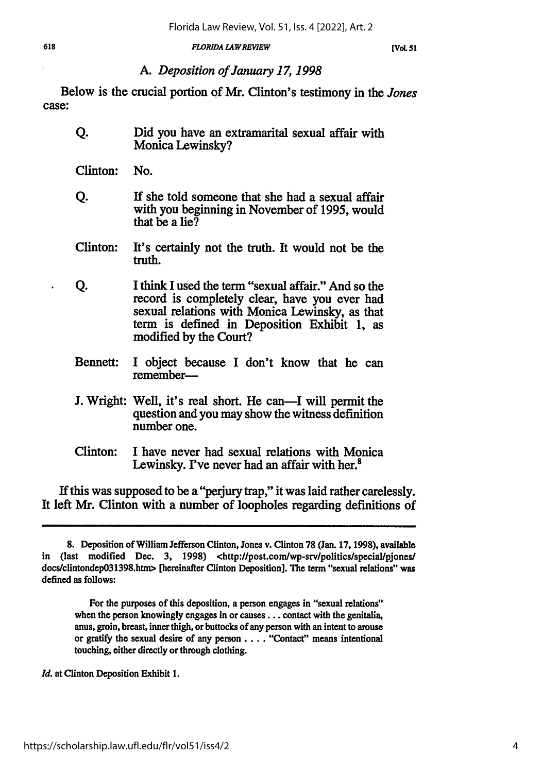# *A. Deposition of January 17, 1998*

Below is the crucial portion **of** Mr. Clinton's testimony in the *Jones* case:

- **Q.** Did you have an extramarital sexual affair with Monica Lewinsky?
- Clinton: No.
- **Q. If** she told someone that she had a sexual affair with you beginning in November of **1995,** would that be a lie?
- Clinton: It's certainly not the truth. It would not be the truth.
- **Q.** I think I used the term "sexual affair." And so the record is completely clear, have you ever had sexual relations with Monica Lewinsky, as that term is defined in Deposition Exhibit **1,** as modified **by** the Court?
- Bennett: I object because **I** don't know that he can remember-
- **J.** Wright: Well, it's real short. He can—I will permit the question and you may show the witness definition number one.
- Clinton: I have never had sexual relations with Monica Lewinsky. I've never had an affair with her.<sup>8</sup>

If this was supposed to be a "perjury trap," it was laid rather carelessly. It left Mr. Clinton with a number of loopholes regarding definitions of

For the purposes of this deposition, a person engages in "sexual relations" when the person knowingly engages in or **causes...** contact with the genitalia, anus, groin, breast, inner thigh, or buttocks of any person with an intent to arouse or gratify the sexual desire of any person .... "Contact" means intentional touching, either directly or through clothing.

*Id.* at Clinton Deposition Exhibit **1.**

**<sup>8.</sup>** Deposition of William Jefferson Clinton, Jones v. Clinton **78** (Jan. **17, 1998),** available in (last modified Dec. 3, 1998) <http://post.com/wp-srv/politics/special/piones/ docs/clintondep03l398.htnm> [hereinafter Clinton Deposition]. **The** term "sexual relations" was defined as follows: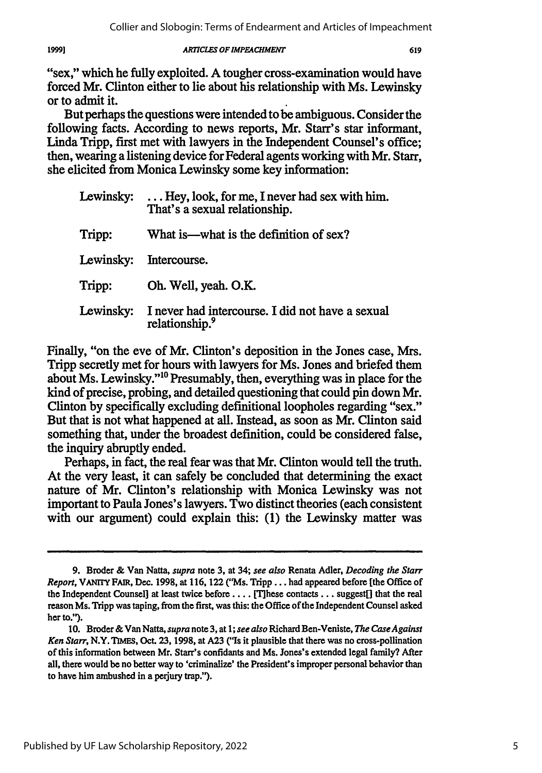19991

"sex," which he fully exploited. **A** tougher cross-examination would have forced Mr. Clinton either to lie about his relationship with Ms. Lewinsky or to admit it.

But perhaps the questions were intended to be ambiguous. Consider the following facts. According to news reports, Mr. Starr's star informant, Linda Tripp, first met with lawyers in the Independent Counsel's office; then, wearing a listening device for Federal agents working with Mr. Starr, she elicited from Monica Lewinsky some key information:

|           | Lewinsky: $\dots$ Hey, look, for me, I never had sex with him.<br>That's a sexual relationship. |
|-----------|-------------------------------------------------------------------------------------------------|
| Tripp:    | What is—what is the definition of sex?                                                          |
| Lewinsky: | Intercourse.                                                                                    |
| Tripp:    | Oh. Well, yeah. O.K.                                                                            |
| Lewinsky: | I never had intercourse. I did not have a sexual<br>relationship. <sup>9</sup>                  |

Finally, "on the eve of Mr. Clinton's deposition in the Jones case, Mrs. Tripp secretly met for hours with lawyers for Ms. Jones and briefed them about Ms. Lewinsky."<sup>10</sup> Presumably, then, everything was in place for the kind of precise, probing, and detailed questioning that could pin down Mr. Clinton **by** specifically excluding definitional loopholes regarding "sex." But that is not what happened at all. Instead, as soon as Mr. Clinton said something that, under the broadest definition, could be considered false, the inquiry abruptly ended.

Perhaps, in fact, the real fear was that Mr. Clinton would tell the truth. At the very least, it can safely be concluded that determining the exact nature of Mr. Clinton's relationship with Monica Lewinsky was not important to Paula Jones's lawyers. Two distinct theories (each consistent with our argument) could explain this: **(1)** the Lewinsky matter was

**<sup>9.</sup>** Broder **&** Van Natta, *supra* note **3,** at 34; *see also* Renata Adler, *Decoding the Starr Report,* **VANrrY** FAIR, Dec. **1998,** at **116, 122** ("Ms. Tripp **...** had appeared before [the Office of the Independent Counsel] at least twice before .... [These contacts **...** suggest[] that the real reason Ms. Tripp was taping, from the first, was this: the Office of the Independent Counsel asked her to.").

**<sup>10.</sup>** Broder &Van Natta, *supranote* **3,** at *1; see also* Richard Ben-Veniste, *The CaseAgainst Ken Starr,* N.Y. **TIMEs,** Oct. **23, 1998,** at **A23** ("Is it plausible that there was no cross-pollination of this information between Mr. Starr's confidants and Ms. Jones's extended legal family? After all, there would be no better way to 'criminalize' the President's improper personal behavior than to have him ambushed in a perjury trap.").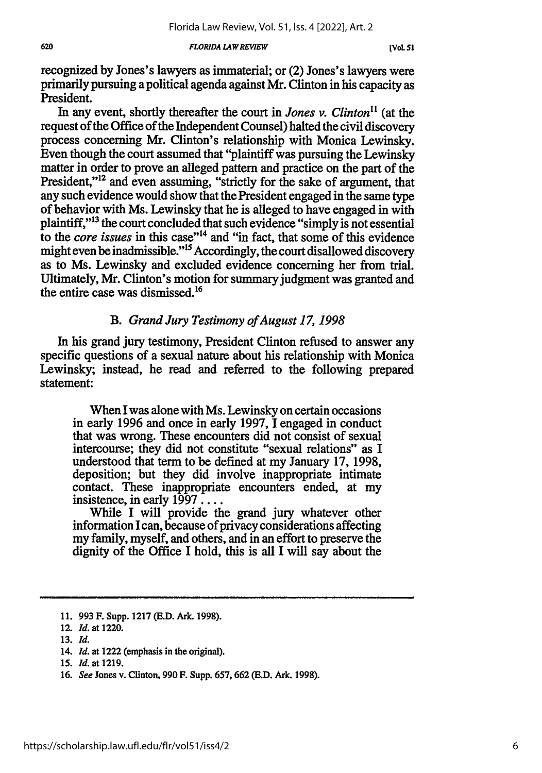recognized by Jones's lawyers as immaterial; or (2) Jones's lawyers were primarily pursuing a political agenda against Mr. Clinton in his capacity as President.

In any event, shortly thereafter the court in *Jones v. Clinton*<sup>11</sup> (at the request of the Office of the Independent Counsel) halted the civil discovery process concerning Mr. Clinton's relationship with Monica Lewinsky. Even though the court assumed that "plaintiff was pursuing the Lewinsky matter in order to prove an alleged pattern and practice on the part of the President,"<sup>12</sup> and even assuming, "strictly for the sake of argument, that any such evidence would show that the President engaged in the same type of behavior with Ms. Lewinsky that he is alleged to have engaged in with plaintiff,"<sup>13</sup> the court concluded that such evidence "simply is not essential to the *core issues* in this case""4 and "in fact, that some of this evidence might even be inadmissible."<sup>15</sup> Accordingly, the court disallowed discovery as to Ms. Lewinsky and excluded evidence concerning her from trial. Ultimately, Mr. Clinton's motion for summary judgment was granted and the entire case was dismissed. <sup>16</sup>

# *B. Grand Jury Testimony of August 17, 1998*

In his grand jury testimony, President Clinton refused to answer any specific questions of a sexual nature about his relationship with Monica Lewinsky; instead, he read and referred to the following prepared statement:

When I was alone with Ms. Lewinsky on certain occasions in early 1996 and once in early 1997, I engaged in conduct that was wrong. These encounters did not consist of sexual intercourse; they did not constitute "sexual relations" as I understood that term to be defined at my January 17, 1998, deposition; but they did involve inappropriate intimate contact. These inappropriate encounters ended, at my insistence, in early 1997....

While I will provide the grand jury whatever other information I can, because of privacy considerations affecting my family, myself, and others, and in an effort to preserve the dignity of the Office I hold, this is all I will say about the

14. *Id.* at 1222 (emphasis in the original).

<sup>11. 993</sup> F. Supp. 1217 (E.D. Ark. 1998).

<sup>12.</sup> *Id.* at 1220.

<sup>13.</sup> *Id.*

*<sup>15.</sup> Id.* at **1219.**

**<sup>16.</sup>** *See* Jones v. Clinton, **990** F. Supp. **657, 662 (E.D.** Ark. **1998).**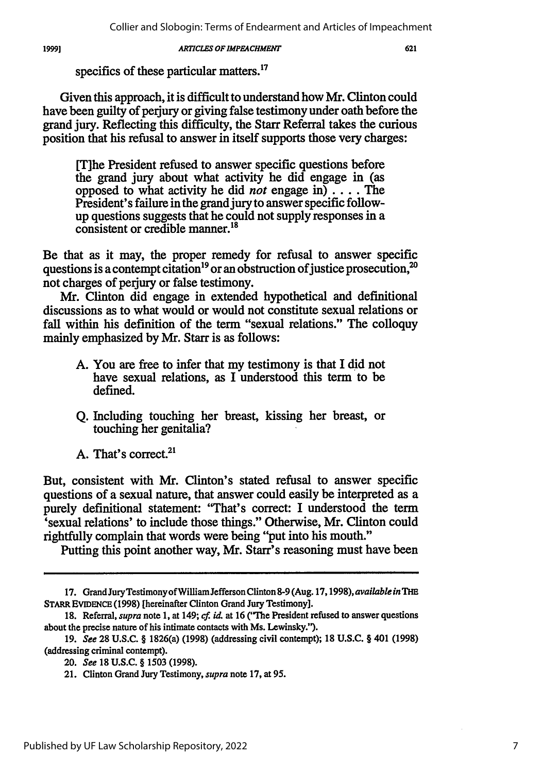specifics of these particular matters.<sup>17</sup>

Given this approach, it is difficult to understand how Mr. Clinton could have been guilty of perjury or giving false testimony under oath before the grand jury. Reflecting this difficulty, the Starr Referral takes the curious position that his refusal to answer in itself supports those very charges:

[T]he President refused to answer specific questions before the grand jury about what activity he did engage in (as opposed to what activity he did *not* engage in) .... The President's failure in the grand jury to answer specific followup questions suggests that he could not supply responses in a consistent or credible manner.<sup>18</sup>

Be that as it may, the proper remedy for refusal to answer specific questions is a contempt citation<sup>19</sup> or an obstruction of justice prosecution,<sup>2</sup> not charges of perjury or false testimony.

Mr. Clinton did engage in extended hypothetical and definitional discussions as to what would or would not constitute sexual relations or fall within his definition of the term "sexual relations." The colloquy mainly emphasized by Mr. Starr is as follows:

- A. You are free to infer that my testimony is that I did not have sexual relations, as I understood this term to be defined.
- Q. Including touching her breast, kissing her breast, or touching her genitalia?
- A. That's correct.<sup>21</sup>

But, consistent with Mr. Clinton's stated refusal to answer specific questions of a sexual nature, that answer could easily be interpreted as a purely definitional statement: 'That's correct: I understood the term 'sexual relations' to include those things." Otherwise, Mr. Clinton could rightfully complain that words were being "put into his mouth."

Putting this point another way, Mr. Starr's reasoning must have been

<sup>17.</sup> Grand JuryTestimony ofWilliam Jefferson Clinton **8-9** (Aug. *17,1998), available in TlE* **STARR EVIDENCE (1998)** [hereinafter Clinton Grand Jury Testimony].

**<sup>18.</sup>** Referral, *supra* note **1,** at 149; *cf id* at **16** ("The President refused to answer questions about the precise nature of his intimate contacts with Ms. Lewinsky.").

<sup>19.</sup> *See* **28 U.S.C.** § 1826(a) (1998) (addressing civil contempt); 18 **U.S.C.** § 401 (1998) (addressing criminal contempt).

<sup>20.</sup> *See* **18 U.S.C.** § 1503 (1998).

<sup>21.</sup> Clinton Grand Jury Testimony, *supra* note 17, at 95.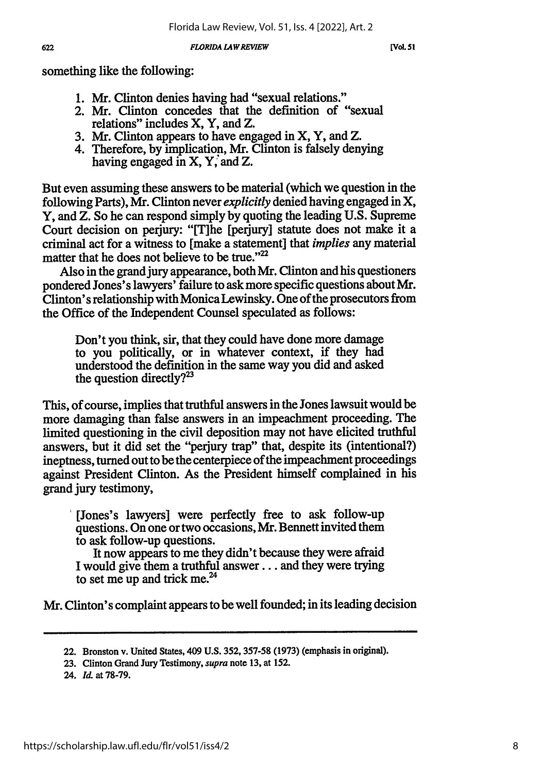[Vol. 51]

something like the following:

- 1. Mr. Clinton denies having had "sexual relations."
- 2. Mr. Clinton concedes that the definition of "sexual relations" includes X, Y, and Z.
- 3. Mr. Clinton appears to have engaged in X, Y, and Z.
- 4. Therefore, by implication, Mr. Clinton is falsely denying having engaged in X, Y, and Z.

But even assuming these answers to be material (which we question in the following Parts), Mr. Clinton never *explicitly* denied having engaged in X, Y, and Z. So he can respond simply by quoting the leading U.S. Supreme Court decision on perjury: "[The [perjury] statute does not make it a criminal act for a witness to [make a statement] that *implies* any material matter that he does not believe to be true."<sup>22</sup>

Also in the grand jury appearance, both Mr. Clinton and his questioners pondered Jones's lawyers' failure to ask more specific questions about Mr. Clinton's relationship with Monica Lewinsky. One of the prosecutors from the Office of the Independent Counsel speculated as follows:

Don't you think, sir, that they could have done more damage to you politically, or in whatever context, if they had understood the definition in the same way you did and asked the question directly? $2^3$ 

This, of course, implies that truthful answers in the Jones lawsuit would be more damaging than false answers in an impeachment proceeding. The limited questioning in the civil deposition may not have elicited truthful answers, but it did set the "perjury trap" that, despite its (intentional?) ineptness, turned out to be the centerpiece of the impeachment proceedings against President Clinton. As the President himself complained in his grand jury testimony,

[Jones's lawyers] were perfectly free to ask follow-up questions. On one or two occasions, Mr. Bennett invited them to ask follow-up questions.

It now appears to me they didn't because they were afraid I would give them a truthful answer.., and they were trying to set me up and trick me.<sup>24</sup>

Mr. Clinton's complaint appears to be well founded; in its leading decision

24. Id. at 78-79.

622

<sup>22.</sup> Bronston v. United States, 409 U.S. 352,357-58 (1973) (emphasis in original).

<sup>23.</sup> Clinton Grand Jury Testimony, *supra* note 13, at 152.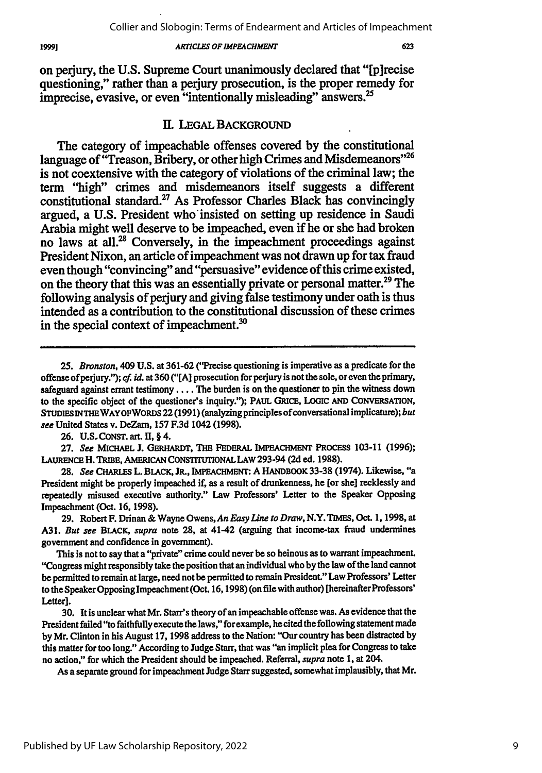on perjury, the **U.S.** Supreme Court unanimously declared that "[p]recise questioning," rather than a perjury prosecution, is the proper remedy for imprecise, evasive, or even "intentionally misleading" answers.<sup>25</sup>

### *IL* LEGAL BACKGROUND

The category of impeachable offenses covered **by** the constitutional language of "Treason, Bribery, or other high Crimes and Misdemeanors"<sup>26</sup> is not coextensive with the category of violations of the criminal law; the term "high" crimes and misdemeanors itself suggests a different constitutional standard.<sup>27</sup> As Professor Charles Black has convincingly argued, a **U.S.** President who'insisted on setting up residence in Saudi Arabia might well deserve to be impeached, even if he or she had broken no laws at all.<sup>28</sup> Conversely, in the impeachment proceedings against President Nixon, an article of impeachment was not drawn up for tax fraud even though "convincing" and "persuasive" evidence of this crime existed, on the theory that this was an essentially private or personal matter.<sup>29</sup> The following analysis of perjury and giving false testimony under oath is thus intended as a contribution to the constitutional discussion of these crimes in the special context of impeachment.<sup>30</sup>

**26. U.S.** CONST. art. **II,** § 4.

**27.** *See* **MICHAEL** J. GERHARDT, **THE** FEDERAL IMPEACHMENT PROCESS 103-11 **(1996);** LAURENCE H. TRIBE, AMERICAN CONSTITuTIONAL LAW 293-94 **(2d** ed. **1988).**

**28.** *See* CHARLES L. BLACK, JR., IMPEACHMENr: A HANDBOOK 33-38 (1974). Likewise, "a President might **be** properly impeached if, as a result of drunkenness, he [or she] recklessly and repeatedly misused executive authority." Law Professors' Letter to the Speaker Opposing Impeachment (Oct. **16, 1998).**

**29.** Robert F. Drinan **&** Wayne Owens, *An Easy Line to Draw,* N.Y. TIMES, Oct. **1, 1998,** at **A31.** But *see* BLACK, *supra* note **28,** at 41-42 (arguing that income-tax fraud undermines government and confidence in government).

This is not to say that a "private" crime could never be so heinous as to warrant impeachment. "Congress might responsibly take the position that an individual who **by** the law of the land cannot be permitted to remain at large, need not be permitted to remain President." Law Professors' Letter to the Speaker Opposing Impeachment (Oct. **16,1998)** (on file with author) [hereinafterProfessors' Letter<sub>l.</sub>

**30.** It is unclear what Mr. Starr's theory of an impeachable offense was. As evidence that the President failed "to faithfully execute the laws," for example, he cited the following statement made **by** Mr. Clinton in his August **17, 1998** address to the Nation: "Our country has been distracted by this matter for too long." According to Judge Starr, that was "an implicit plea for Congress to take no action," for which the President should be impeached. Referral, *supra* note **1,** at 204.

As a separate ground for impeachment Judge Starr suggested, somewhat implausibly, that Mr.

*<sup>25.</sup> Bronston,* 409 **U.S.** at **361-62** ("Precise questioning is imperative as a predicate for the offense ofperjury."); *cf. id.* at **360 ("[A]** prosecution for perjury is not the sole, or even the primary, safeguard against errant **testimony** .... The burden is on the questioner to pin the witness down to the specific object of the questioner's inquiry."); PAUL GRICE, **LOGIC AND** CONVERSATION, STUDIES INTHEWAYOFWORDS 22 (1991) (analyzing principles of conversational implicature); *but see* United States v. DeZarn, 157 **F.3d** 1042 (1998).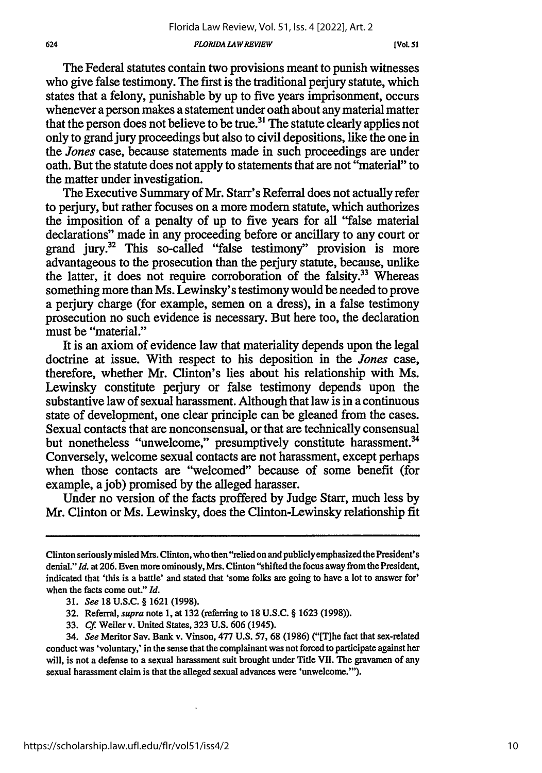The Federal statutes contain two provisions meant to punish witnesses who give false testimony. The first is the traditional perjury statute, which states that a felony, punishable by up to five years imprisonment, occurs whenever a person makes a statement under oath about any material matter that the person does not believe to be true.<sup>31</sup> The statute clearly applies not only to grand jury proceedings but also to civil depositions, like the one in *the Jones* case, because statements made in such proceedings are under oath. But the statute does not apply to statements that are not "material" to the matter under investigation.

The Executive Summary of Mr. Starr's Referral does not actually refer to perjury, but rather focuses on a more modem statute, which authorizes the imposition of a penalty of up to five years for all "false material declarations" made in any proceeding before or ancillary to any court or grand jury.32 This so-called "false testimony" provision is more advantageous to the prosecution than the perjury statute, because, unlike the latter, it does not require corroboration of the falsity.<sup>33</sup> Whereas something more than Ms. Lewinsky' s testimony would be needed to prove a perjury charge (for example, semen on a dress), in a false testimony prosecution no such evidence is necessary. But here too, the declaration must be "material."

It is an axiom of evidence law that materiality depends upon the legal doctrine at issue. With respect to his deposition in the *Jones* case, therefore, whether Mr. Clinton's lies about his relationship with Ms. Lewinsky constitute perjury or false testimony depends upon the substantive law of sexual harassment. Although that law is in a continuous state of development, one clear principle can be gleaned from the cases. Sexual contacts that are nonconsensual, or that are technically consensual but nonetheless "unwelcome," presumptively constitute harassment.<sup>34</sup> Conversely, welcome sexual contacts are not harassment, except perhaps when those contacts are "welcomed" because of some benefit (for example, a job) promised by the alleged harasser.

Under no version of the facts proffered by Judge Starr, much less by Mr. Clinton or Ms. Lewinsky, does the Clinton-Lewinsky relationship fit

Clinton seriously misled Mrs. Clinton, who then "relied on and publicly emphasized the President's denial." *Id.* at 206. Even more ominously, Mrs. Clinton "shifted the focus away from the President, indicated that 'this is a battle' and stated that 'some folks are going to have a lot to answer for' when the facts come out." *Id.*

<sup>31.</sup> *See* 18 U.S.C. § 1621 (1998).

<sup>32.</sup> Referral, *supra* note 1, at 132 (referring to 18 **U.S.C.** § 1623 (1998)).

<sup>33.</sup> *Cf.* Weiler v. United States, 323 U.S. **606** (1945).

<sup>34.</sup> See Meritor Sav. Bank v. Vinson, 477 U.S. 57, 68 (1986) ("[T]he fact that sex-related conduct was 'voluntary,' in the sense that the complainant was not forced to participate against her will, is not a defense to a sexual harassment suit brought under Title VII. The gravamen of any sexual harassment claim is that the alleged sexual advances were 'unwelcome."').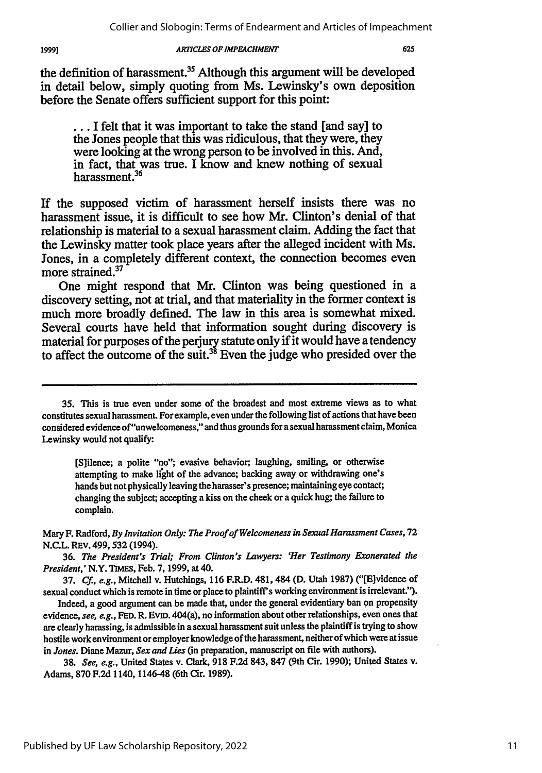*19991*

#### *ARTICLES OF IMPEACHMENT*

the definition of harassment.<sup>35</sup> Although this argument will be developed in detail below, simply quoting from Ms. Lewinsky's own deposition before the Senate offers sufficient support for this point:

**... I** felt that it was important to take the stand [and say] to the Jones people that this was ridiculous, that they were, they were looking at the wrong person to be involved in this. And, in fact, that was true. I know and knew nothing of sexual harassment.<sup>36</sup>

If the supposed victim of harassment herself insists there was no harassment issue, it is difficult to see how Mr. Clinton's denial of that relationship is material to a sexual harassment claim. Adding the fact that the Lewinsky matter took place years after the alleged incident with Ms. Jones, in a completely different context, the connection becomes even more strained.<sup>37</sup>

One might respond that Mr. Clinton was being questioned in a discovery setting, not at trial, and that materiality in the former context is much more broadly defined. The law in this area is somewhat mixed. Several courts have held that information sought during discovery is material for purposes of the perjury statute only if it would have a tendency to affect the outcome of the suit.<sup>38</sup> Even the judge who presided over the

**35.** This is true even under some of the broadest and most extreme views as to what constitutes sexual harassment. For example, even under the following list of actions that have been considered evidence of"unwelcomeness," and thus grounds for a sexual harassment claim, Monica Lewinsky would not qualify:

[S]ilence; a polite "no"; evasive behavior; laughing, smiling, or otherwise attempting to make light of the advance; backing away or withdrawing one's hands but not physically leaving the harasser's presence; maintaining eye contact; changing the subject; accepting a kiss on the cheek or a quick hug; the failure to complain.

Mary F. Radford, *By Invitation Only: The Proof of Welcomeness in Sexual Harassment Cases,* **72 N.C.L.** REv. **499,532** (1994).

**36.** *The President's Trial; From Clinton's Lawyers: 'Her Testimony Exonerated the President,'* N.Y. **TIMES,** Feb. **7, 1999,** at 40.

**37.** *Cf., e.g.,* Mitchell v. Hutchings, **116** F.R.D. 481, 484 **(D.** Utah **1987)** ("[Elvidence of sexual conduct which is remote in time or place to plaintiff's working environment is irrelevant.").

Indeed, a good argument can be made that, under the general evidentiary ban on propensity evidence, *see, e.g.,* **FED.** R. **EVID.** 404(a), no information about other relationships, even ones that are clearly harassing, is admissible in a sexual harassment suit unless the plaintiff is trying to show hostile work environment or employer knowledge of the harassment, neither of which were at issue in *Jones.* Diane Mazur, *Sex and Lies* (in preparation, manuscript on file with authors).

**38.** *See, e.g.,* United States v. Clark, **918 F.2d** 843, **847** (9th Cir. **1990);** United States v. Adams, **870 F.2d** 1140, 1146-48 (6th Cir. **1989).**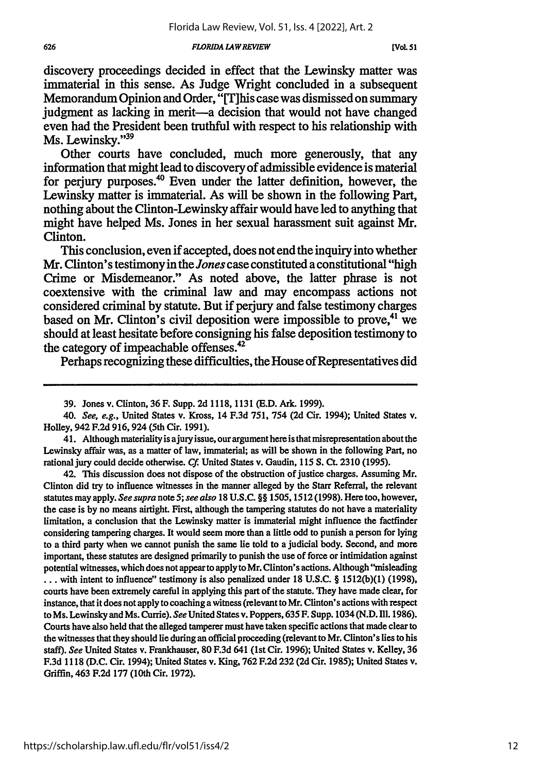discovery proceedings decided in effect that the Lewinsky matter was immaterial in this sense. As Judge Wright concluded in a subsequent Memorandum Opinion and Order, "[Tjhis case was dismissed on summary judgment as lacking in merit-a decision that would not have changed even had the President been truthful with respect to his relationship with Ms. Lewinsky."<sup>39</sup>

Other courts have concluded, much more generously, that any information that might lead to discovery of admissible evidence is material for perjury purposes.<sup>40</sup> Even under the latter definition, however, the Lewinsky matter is immaterial. As will be shown in the following Part, nothing about the Clinton-Lewinsky affair would have led to anything that might have helped Ms. Jones in her sexual harassment suit against Mr. Clinton.

This conclusion, even if accepted, does not end the inquiry into whether Mr. Clinton's testimony in the *Jones* case constituted a constitutional "high Crime or Misdemeanor." As noted above, the latter phrase is not coextensive with the criminal law and may encompass actions not considered criminal **by** statute. But if **perjury** and false testimony charges based on Mr. Clinton's civil deposition were impossible to prove,<sup>41</sup> we should at least hesitate before consigning his false deposition testimony to the category of impeachable offenses.<sup>42</sup>

Perhaps recognizing these difficulties, the House of Representatives did

41. Although materiality is ajury issue, our argument here is that misrepresentation about the Lewinsky affair was, as a matter of law, immaterial; as will be shown in the following Part, no rational jury could decide otherwise. **Cf.** United States v. Gaudin, 115 **S. Ct.** 2310 (1995).

42. This discussion does not dispose of the obstruction of justice charges. Assuming Mr. Clinton did **try** to influence witnesses in the manner alleged by the Starr Referral, the relevant statutes may apply. *See supra* note *5; see also* **18 U.S.C.** §§ 1505,1512 (1998). Here too, however, the case is by no means airtight. First, although the tampering statutes do not have a materiality limitation, a conclusion that the Lewinsky matter is immaterial might influence the factfinder considering tampering charges. It would seem more than a little odd to punish a person for lying to a third party when we cannot punish the same lie told to a judicial body. Second, and more important, these statutes are designed primarily to punish the use of force or intimidation against potential witnesses, which does not appear to apply to Mr. Clinton's actions. Although "misleading ... with intent to influence" testimony is also penalized under 18 U.S.C. § **1512(b)(1) (1998),** courts have been extremely careful in applying this part of the statute. They have made clear, for instance, that it does not apply to coaching a witness (relevant to Mr. Clinton's actions with respect to Ms. Lewinsky and Ms. Currie). *See* United States v. Poppers, **635** F. Supp. 1034 (N.D. IIl. 1986). Courts have also held that the alleged tamperer must have taken specific actions that made clear to the witnesses that they should lie during an official proceeding (relevant to Mr. Clinton's lies to his staff). *See* United States v. Frankhauser, 80 F.3d 641 (1st Cir. 1996); United States v. Kelley, 36 F.3d 1118 (D.C. Cir. 1994); United States v. King, **762** F.2d **232 (2d** Cir. 1985); United States v. Griffin, 463 **F.2d 177** (10th Cir. **1972).**

<sup>39.</sup> Jones v. Clinton, 36 F. Supp. 2d 1118, **1131 (E.D.** Ark. **1999).**

*<sup>40.</sup> See,* e.g., United States v. Kross, 14 F.3d **751,** 754 **(2d** Cir. 1994); United States v. Holley, 942 F.2d 916, 924 (5th Cir. 1991).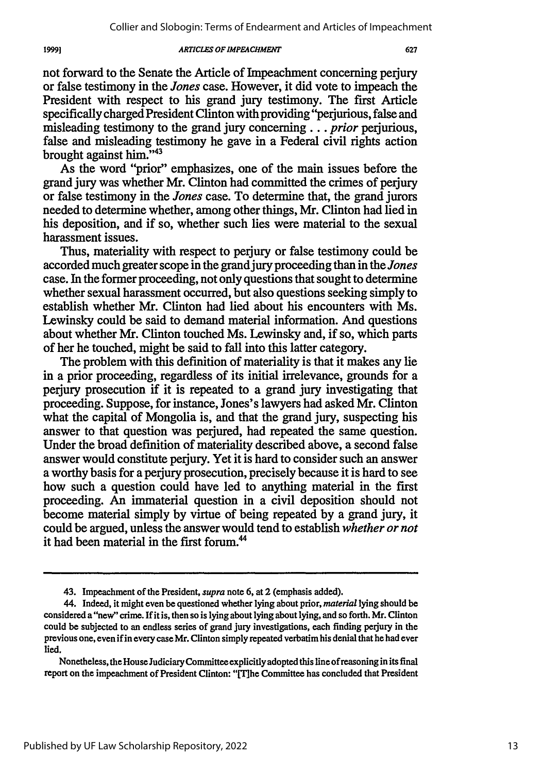not forward to the Senate the Article of Impeachment concerning perjury or false testimony in the *Jones* case. However, it did vote to impeach the President with respect to his grand jury testimony. The first Article specifically charged President Clinton with providing "perjurious, false and misleading testimony to the grand jury concerning... *prior* perjurious, false and misleading testimony he gave in a Federal civil rights action brought against him."'43

As the word "prior" emphasizes, one of the main issues before the grand jury was whether Mr. Clinton had committed the crimes of perjury or false testimony in the *Jones* case. To determine that, the grand jurors needed to determine whether, among other things, Mr. Clinton had lied in his deposition, and if so, whether such lies were material to the sexual harassment issues.

Thus, materiality with respect to perjury or false testimony could be accorded much greater scope in the grand jury proceeding than in the *Jones* case. In the former proceeding, not only questions that sought to determine whether sexual harassment occurred, but also questions seeking simply to establish whether Mr. Clinton had lied about his encounters with Ms. Lewinsky could be said to demand material information. And questions about whether Mr. Clinton touched Ms. Lewinsky and, if so, which parts of her he touched, might be said to fall into this latter category.

The problem with this definition of materiality is that it makes any lie in a prior proceeding, regardless of its initial irrelevance, grounds for a periury prosecution if it is repeated to a grand jury investigating that proceeding. Suppose, for instance, Jones's lawyers had asked Mr. Clinton what the capital of Mongolia is, and that the grand jury, suspecting his answer to that question was perjured, had repeated the same question. Under the broad definition of materiality described above, a second false answer would constitute perjury. Yet it is hard to consider such an answer a worthy basis for a perjury prosecution, precisely because it is hard to see how such a question could have led to anything material in the first proceeding. An immaterial question in a civil deposition should not become material simply by virtue of being repeated by a grand jury, it could be argued, unless the answer would tend to establish *whether or not* it had been material in the first forum.<sup>44</sup>

19991

<sup>43.</sup> Impeachment of the President, *supra* note 6, at 2 (emphasis added).

<sup>44.</sup> Indeed, it might even be questioned whether lying about prior, *material* lying should be considered a "new" crime. If it is, then so is lying about lying about lying, and so forth. Mr. Clinton could be subjected to an endless series of grand jury investigations, each finding perjury in the previous one, even if in every case Mr. Clinton simply repeated verbatim his denial that he had ever lied.

Nonetheless, the House Judiciary Committee explicitly adopted this line of reasoning in its final report on the impeachment of President Clinton: "ITihe Committee has concluded that President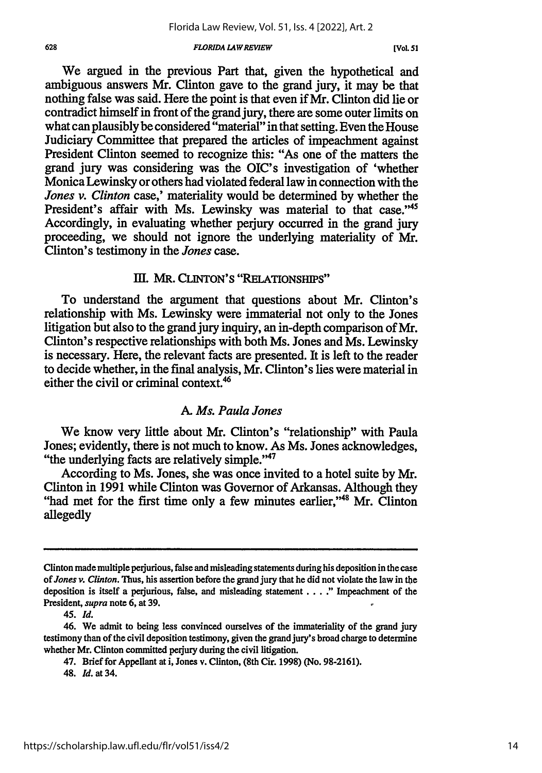We argued in the previous Part that, given the hypothetical and ambiguous answers Mr. Clinton gave to the grand jury, it may be that nothing false was said. Here the point is that even if Mr. Clinton did lie or contradict himself in front of the grand jury, there are some outer limits on what can plausibly be considered "material" in that setting. Even the House Judiciary Committee that prepared the articles of impeachment against President Clinton seemed to recognize this: "As one of the matters the grand jury was considering was the OIC's investigation of 'whether Monica Lewinsky or others had violated federal law in connection with the *Jones v. Clinton* case,' materiality would be determined by whether the President's affair with Ms. Lewinsky was material to that case."45 Accordingly, in evaluating whether perjury occurred in the grand jury proceeding, we should not ignore the underlying materiality of Mr. Clinton's testimony in the *Jones* case.

# **III.** MR. **CLINTON'S "RELATIONSHIPS"**

To understand the argument that questions about Mr. Clinton's relationship with Ms. Lewinsky were immaterial not only to the Jones litigation but also to the grand jury inquiry, an in-depth comparison of Mr. Clinton's respective relationships with both Ms. Jones and Ms. Lewinsky is necessary. Here, the relevant facts are presented. It is left to the reader to decide whether, in the final analysis, Mr. Clinton's lies were material in either the civil or criminal context.<sup>46</sup>

### *A. Ms. Paula Jones*

We know very little about Mr. Clinton's "relationship" with Paula Jones; evidently, there is not much to know. As Ms. Jones acknowledges, "the underlying facts are relatively simple."47

According to Ms. Jones, she was once invited to a hotel suite by Mr. Clinton in 1991 while Clinton was Governor of Arkansas. Although they "had met for the first time only a few minutes earlier."<sup>48</sup> Mr. Clinton allegedly

Clinton made multiple perjurious, false and misleading statements during his deposition in the case *of Jones v. Clinton.* Thus, his assertion before the grand jury that he did not violate the law in the deposition is itself a perjurious, false, and misleading statement .... **."** Impeachment of the President, *supra* note 6, at **39.**

*<sup>45.</sup> Id.*

<sup>46.</sup> We admit to being less convinced ourselves of the immateriality of the grand jury testimony than of the civil deposition testimony, given the grand jury's broad charge to determine whether Mr. Clinton committed perjury during the civil litigation.

<sup>47.</sup> Brief for Appellant at i, Jones v. Clinton, (8th Cir. 1998) (No. 98-2161).

<sup>48.</sup> **Id.** at 34.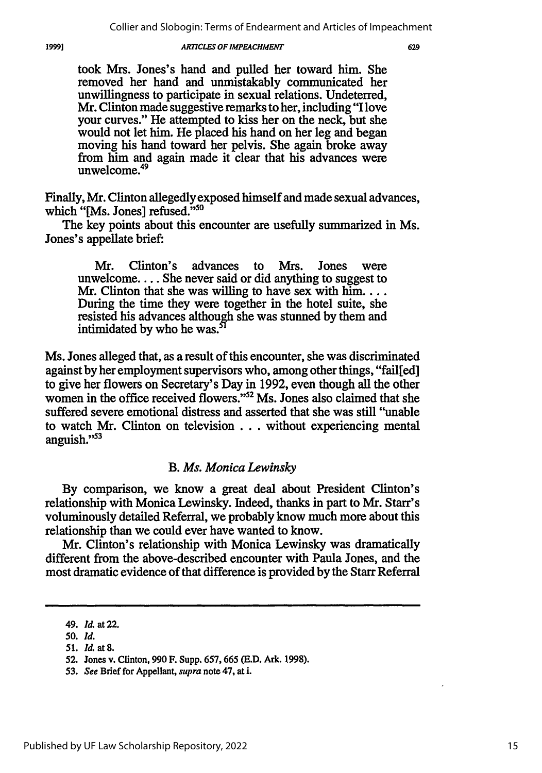took Mrs. Jones's hand and pulled her toward him. She removed her hand and unmistakably communicated her unwillingness to participate in sexual relations. Undeterred, Mr. Clinton made suggestive remarks to her, including "I love your curves." He attempted to kiss her on the neck, but she would not let him. He placed his hand on her leg and began moving his hand toward her pelvis. She again broke away from him and again made it clear that his advances were unwelcome.<sup>49</sup>

Finally, Mr. Clinton allegedly exposed himself and made sexual advances, which "[Ms. Jones] refused."50

The key points about this encounter are usefully summarized in Ms. Jones's appellate brief:

Mr. Clinton's advances to Mrs. Jones were unwelcome.... She never said or did anything to suggest to Mr. Clinton that she was willing to have sex with  $\lim_{n \to \infty}$ ... During the time they were together in the hotel suite, she resisted his advances although she was stunned by them and intimidated by who he was.<sup>5</sup>

Ms. Jones alleged that, as a result of this encounter, she was discriminated against by her employment supervisors who, among other things, "failfed] to give her flowers on Secretary's Day in 1992, even though all the other women in the office received flowers."<sup>52</sup> Ms. Jones also claimed that she suffered severe emotional distress and asserted that she was still "unable to watch Mr. Clinton on television **...** without experiencing mental anguish."<sup>53</sup>

### *B. Ms. Monica Lewinsky*

By comparison, we know a great deal about President Clinton's relationship with Monica Lewinsky. Indeed, thanks in part to Mr. Starr's voluminously detailed Referral, we probably know much more about this relationship than we could ever have wanted to know.

Mr. Clinton's relationship with Monica Lewinsky was dramatically different from the above-described encounter with Paula Jones, and the most dramatic evidence of that difference is provided by the Starr Referral

<sup>49.</sup> *Id.* at 22.

**<sup>50.</sup>** *Id.*

**<sup>51.</sup>** *lit* at **8.**

**<sup>52.</sup>** Jones v. Clinton, **990** F. Supp. **657, 665 (E.D.** Ark. **1998).**

**<sup>53.</sup>** *See* Brief for Appellant, **supra** note 47, at i.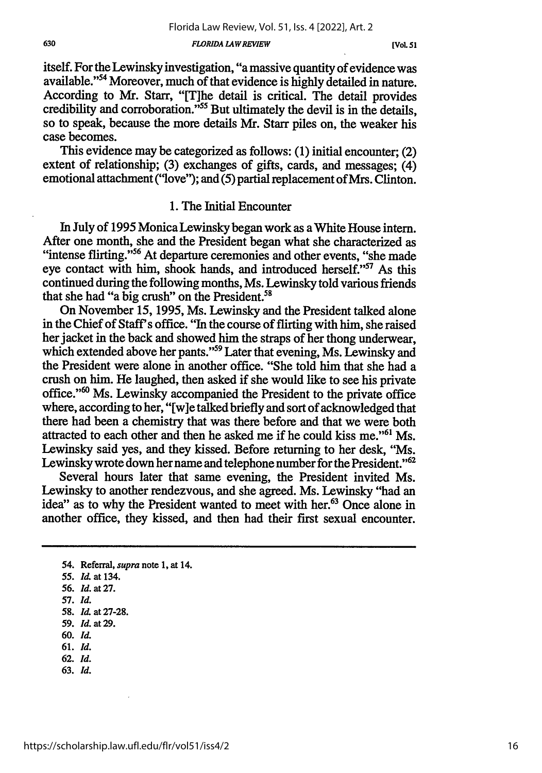itself. For the Lewinsky investigation, "a massive quantity of evidence was available."54 Moreover, much of that evidence is highly detailed in nature. According to Mr. Starr, "[The detail is critical. The detail provides credibility and corroboration."<sup>55</sup> But ultimately the devil is in the details, so to speak, because the more details Mr. Starr piles on, the weaker his case becomes.

This evidence may be categorized as follows: (1) initial encounter; (2) extent of relationship; (3) exchanges of gifts, cards, and messages; (4) emotional attachment ("love"); and (5) partial replacement of Mrs. Clinton.

### 1. The Initial Encounter

In July of 1995 Monica Lewinsky began work as a White House intern. After one month, she and the President began what she characterized as "intense flirting."<sup>56</sup> At departure ceremonies and other events, "she made eye contact with him, shook hands, and introduced herself."<sup>57</sup> As this continued during the following months, Ms. Lewinsky told various friends that she had "a big crush" on the President.<sup>58</sup>

On November 15, 1995, Ms. Lewinsky and the President talked alone in the Chief of Staff's office. "In the course of flirting with him, she raised her jacket in the back and showed him the straps of her thong underwear, which extended above her pants."<sup>59</sup> Later that evening, Ms. Lewinsky and the President were alone in another office. "She told him that she had a crush on him. He laughed, then asked if she would like to see his private office."<sup>60</sup> Ms. Lewinsky accompanied the President to the private office where, according to her, "[w]e talked briefly and sort of acknowledged that there had been a chemistry that was there before and that we were both attracted to each other and then he asked me if he could kiss me."<sup>61</sup> Ms. Lewinsky said yes, and they kissed. Before returning to her desk, "Ms. Lewinsky wrote down her name and telephone number for the President."<sup>62</sup>

Several hours later that same evening, the President invited Ms. Lewinsky to another rendezvous, and she agreed. Ms. Lewinsky "had an idea" as to why the President wanted to meet with her.<sup>63</sup> Once alone in another office, they kissed, and then had their first sexual encounter.

- 61. Id.
- 62. *Id.* 63. Id.
- 

<sup>54.</sup> Referral, *supra* note 1, at 14.

*<sup>55.</sup> Id.* at 134.

**<sup>56.</sup>** *Id. at 27.*

**<sup>57.</sup>** Id.

**<sup>58.</sup> I.** at 27-28.

**<sup>59.</sup> Id.** at **29.**

**<sup>60.</sup> Id.**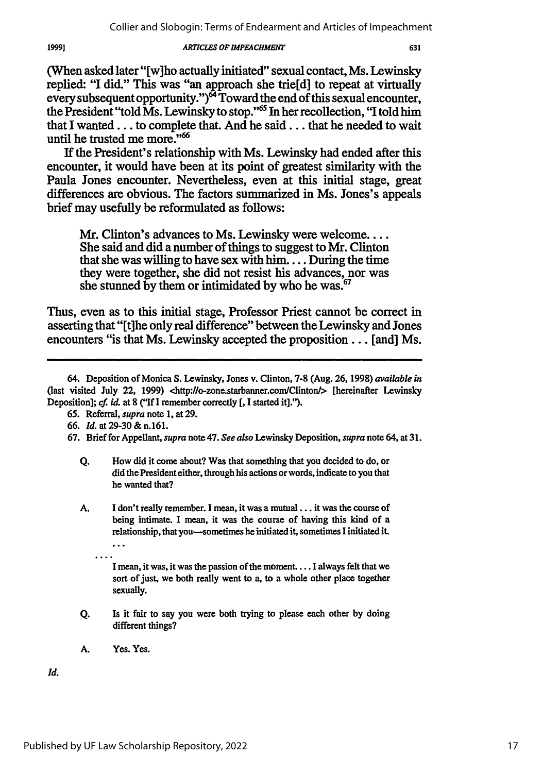(When asked later "[w]ho actually initiated" sexual contact, Ms. Lewinsky replied: **"I** did." This was "an approach she trie[d] to repeat at virtually every subsequent opportunity.") $^{64}$  Toward the end of this sexual encounter, the President "told Ms. Lewinsky to stop."'6 In her recollection, "I told him that I **wanted...** to complete that. And he **said...** that he needed to wait until he trusted me more."<sup>66</sup>

**If** the President's relationship with Ms. Lewinsky had ended after this encounter, it would have been at its point of greatest similarity with the Paula Jones encounter. Nevertheless, even at this initial stage, great differences are obvious. The factors summarized in Ms. Jones's appeals brief may usefully be reformulated as follows:

Mr. Clinton's advances to Ms. Lewinsky were welcome.... She said and did a number of things to suggest to Mr. Clinton that she was willing **to have sex with** him .... During the time they were together, she did not resist his advances, nor was she stunned **by** them or intimidated **by** who he was.67

Thus, even as to this initial stage, Professor Priest cannot be correct in asserting that "[tihe only real difference" between the Lewinsky and Jones encounters "is that Ms. Lewinsky accepted the proposition... [and] Ms.

- **Q.** How did it come about? Was that something that you decided to do, or did the President either, through his actions or words, indicate to you that he wanted that?
- A. I don't really remember. I mean, it was a mutual... it was the course of being intimate. I mean, it was the course of having this kind of a relationship, that you-sometimes he initiated **it,** sometimes I initiated it.

I mean, it was, it was the passion of the moment.... I always felt that we sort of just, we both really went to a, to a whole other place together sexually.

- Q. Is it fair to say you were both trying to please each other by doing different things?
- **A.** Yes. Yes.

Id.

1999]

<sup>64.</sup> Deposition of Monica **S.** Lewinsky, Jones v. Clinton, **7-8** (Aug. **26, 1998)** *available in* (last visited July 22, **1999)** <http://o-zone.starbanner.com/Clinton/> [hereinafter Lewinsky Deposition]; cf *id.* at **8** ("If **I** remember correctly **[, I** started it].").

**<sup>65.</sup>** Referral, *supra* note **1,** at **29.**

**<sup>66.</sup>** *Id.* at 29-30 **&** n.161.

**<sup>67.</sup>** Brief for Appellant, *supra* note 47. *See also* Lewinsky Deposition, *supra* note 64, at **31.**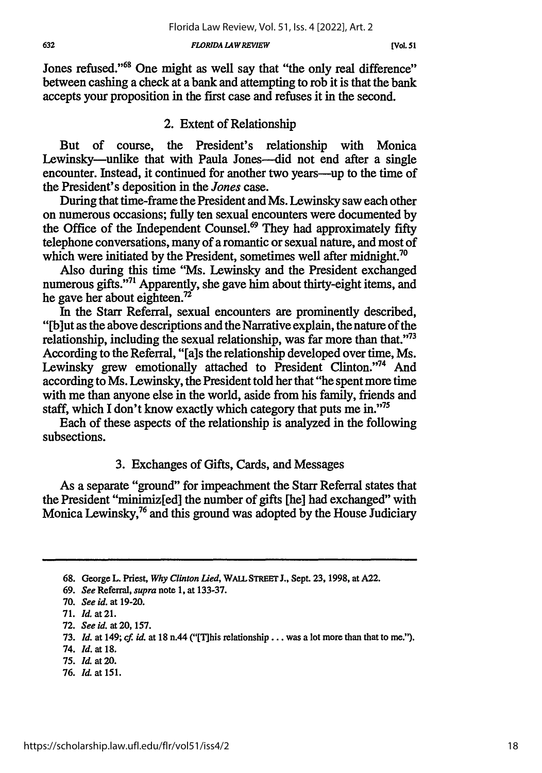Jones refused."<sup>68</sup> One might as well say that "the only real difference" between cashing a check at a bank and attempting to rob it is that the bank accepts your proposition in the first case and refuses it in the second.

### 2. Extent of Relationship

But of course, the President's relationship with Monica Lewinsky—unlike that with Paula Jones—did not end after a single encounter. Instead, it continued for another two years—up to the time of the President's deposition in the *Jones* case.

During that time-frame the President and Ms. Lewinsky saw each other on numerous occasions; fully ten sexual encounters were documented by the Office of the Independent Counsel.<sup>69</sup> They had approximately fifty telephone conversations, many of a romantic or sexual nature, and most of which were initiated by the President, sometimes well after midnight.<sup>70</sup>

Also during this time "Ms. Lewinsky and the President exchanged numerous gifts."<sup>71</sup> Apparently, she gave him about thirty-eight items, and he gave her about eighteen.72

In the Starr Referral, sexual encounters are prominently described, "[b]ut as the above descriptions and the Narrative explain, the nature of the relationship, including the sexual relationship, was far more than that."<sup>73</sup> According to the Referral, "[a]s the relationship developed over time, Ms. Lewinsky grew emotionally attached to President Clinton."<sup>74</sup> And according to Ms. Lewinsky, the President told her that "he spent more time with me than anyone else in the world, aside from his family, friends and staff, which I don't know exactly which category that puts me in."'75

Each of these aspects of the relationship is analyzed in the following subsections.

## 3. Exchanges of Gifts, Cards, and Messages

As a separate "ground" for impeachment the Starr Referral states that the President "minimiz[ed] the number of gifts [he] had exchanged" with Monica Lewinsky,<sup>76</sup> and this ground was adopted by the House Judiciary

76. *ld.* at 151.

**<sup>68.</sup>** George L. Priest, *Why Clinton Lied,* **WALL STREET J.,** Sept. **23, 1998,** at **A22.**

<sup>69.</sup> *See* Referral, *supra* note **1,** at 133-37.

<sup>70.</sup> *See id.* at 19-20.

<sup>71.</sup> *Id.* at **21.**

<sup>72.</sup> *See id.* at 20, 157.

**<sup>73.</sup>** *Id.* at 149; *cf. id.* at 18 n.44 ("[Tlhis relationship **...** was a lot more than that to me.").

<sup>74.</sup> *Id.* at **18.**

**<sup>75.</sup>** *Id.* at **20.**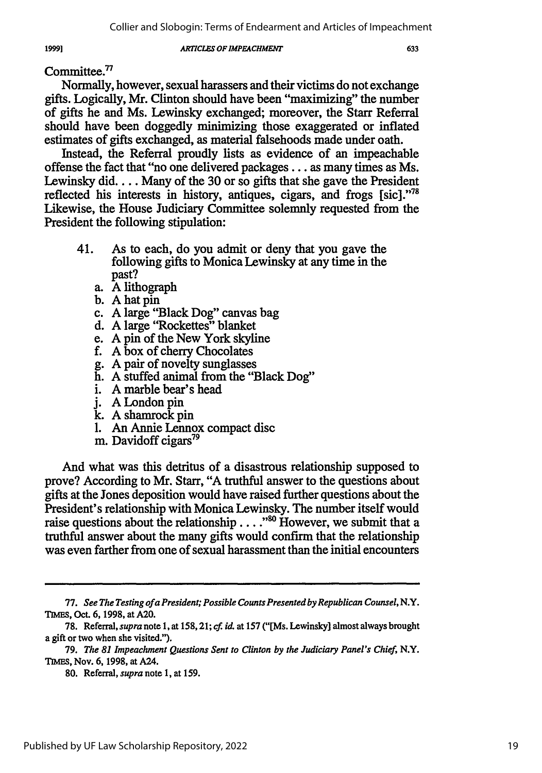Committee.<sup>77</sup>

Normally, however, sexual harassers and their victims do not exchange gifts. Logically, Mr. Clinton should have been "maximizing" the number of gifts he and Ms. Lewinsky exchanged; moreover, the Starr Referral should have been doggedly minimizing those exaggerated or inflated estimates of gifts exchanged, as material falsehoods made under oath.

Instead, the Referral proudly lists as evidence of an impeachable offense the fact that "no one delivered packages... as many times as Ms. Lewinsky did.... Many of the 30 or so gifts that she gave the President reflected his interests in history, antiques, cigars, and frogs [sic]."<sup>78</sup> Likewise, the House Judiciary Committee solemnly requested from the President the following stipulation:

- 41. As to each, do you admit or deny that you gave the following gifts to Monica Lewinsky at any time in the past?
	- a. A lithograph
	- b. A hat pin
	- c. A large "Black Dog" canvas bag
	- d. A large "Rockettes" blanket
	- e. **A** pin of the New York skyline
	- f. A box of cherry Chocolates
	- g. A pair of novelty sunglasses
	- h. A stuffed animal from the "Black Dog"
	- i. A marble bear's head
	- j. A London pin
	- k. A shamrock pin
	- 1. An Annie Lennox compact disc
	- m. Davidoff cigars<sup>79</sup>

And what was this detritus of a disastrous relationship supposed to prove? According to Mr. Starr, "A truthful answer to the questions about gifts at the Jones deposition would have raised further questions about the President's relationship with Monica Lewinsky. The number itself would raise questions about the relationship . . . .<sup>80</sup> However, we submit that a truthful answer about the many gifts would confirm that the relationship was even farther from one of sexual harassment than the initial encounters

<sup>77.</sup> *See The Testing of a President; Possible Counts Presented byRepublican Counsel,* N.Y. **TIMEs,** Oct. 6, 1998, at A20.

<sup>78.</sup> Referral, *supra* note 1, at 158,21; *cf. id.* at 157 ("[Ms. Lewinsky] almost always brought a gift or two when she visited.").

<sup>79.</sup> *The 81 Impeachment Questions Sent to Clinton by the Judiciary Panel's Chief,* N.Y. **TIMES,** Nov. 6, 1998, at A24.

<sup>80.</sup> Referral, *supra* note 1, at 159.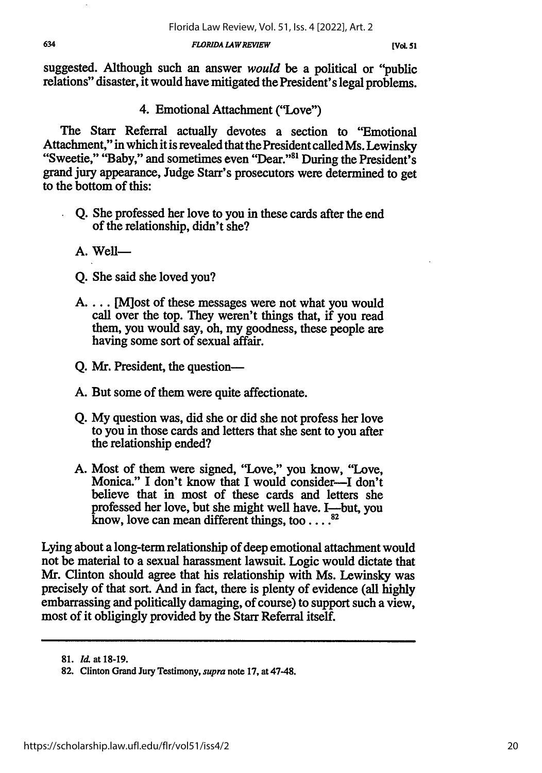suggested. Although such an answer *would* be a political or "public relations" disaster, it would have mitigated the President's legal problems.

4. Emotional Attachment ("Love")

The Starr Referral actually devotes a section to "Emotional Attachment," in which it is revealed that the President called Ms. Lewinsky "Sweetie," "Baby," and sometimes even "Dear."<sup>81</sup> During the President's grand jury appearance, Judge Starr's prosecutors were determined to get to the bottom of this:

- **Q.** She professed her love to you in these cards after the end of the relationship, didn't she?
- **A.** Well-
- Q. She said she loved you?
- A.... M ost of these messages were not what you would call over the top. They weren't things that, if you read them, you would say, oh, my goodness, these people are having some sort of sexual affair.
- Q. Mr. President, the question-
- A. But some of them were quite affectionate.
- Q. My question was, did she or did she not profess her love to you in those cards and letters that she sent to you after the relationship ended?
- A. Most of them were signed, "Love," you know, "Love, Monica." I don't know that I would consider-I don't believe that in most of these cards and letters she professed her love, but she might well have. I—but, you know, love can mean different things, too . . . .<sup>82</sup>

Lying about a long-term relationship of deep emotional attachment would not be material to a sexual harassment lawsuit. Logic would dictate that Mr. Clinton should agree that his relationship with Ms. Lewinsky was precisely of that sort. And in fact, there is plenty of evidence (all highly embarrassing and politically damaging, of course) to support such a view, most of it obligingly provided by the Starr Referral itself.

**<sup>81.</sup>** *Il* at 18-19.

**<sup>82.</sup>** Clinton Grand Jury Testimony, *supra* note 17, at 47-48.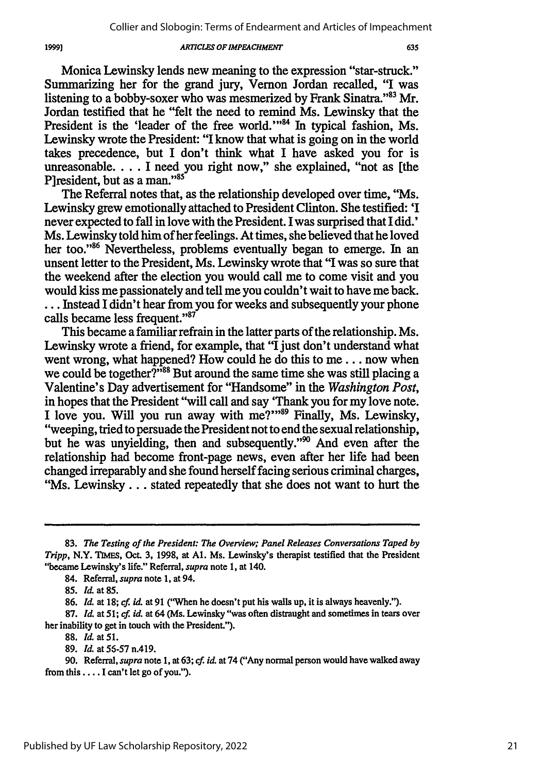Monica Lewinsky lends new meaning to the expression "star-struck." Summarizing her for the grand jury, Vernon Jordan recalled, "I was listening to a bobby-soxer who was mesmerized by Frank Sinatra."<sup>83</sup> Mr. Jordan testified that he "felt the need to remind Ms. Lewinsky that the President is the 'leader of the free world.'"<sup>84</sup> In typical fashion, Ms. Lewinsky wrote the President: "I know that what is going on in the world takes precedence, but I don't think what I have asked you for is unreasonable.... I need you right now," she explained, "not as [the P]resident, but as a man."<sup>85</sup>

The Referral notes that, as the relationship developed over time, "Ms. Lewinsky grew emotionally attached to President Clinton. She testified: 'I never expected to fall in love with the President. I was surprised that I did.' Ms. Lewinsky told him of her feelings. At times, she believed that he loved her too."<sup>86</sup> Nevertheless, problems eventually began to emerge. In an unsent letter to the President, Ms. Lewinsky wrote that "I was so sure that the weekend after the election you would call me to come visit and you would kiss me passionately and tell me you couldn't wait to have me back. ... Instead I didn't hear from you for weeks and subsequently your phone calls became less frequent."87

This became a familiar refrain in the latter parts of the relationship. Ms. Lewinsky wrote a friend, for example, that "I just don't understand what went wrong, what happened? How could he do this to me... now when we could be together?"<sup>38</sup> But around the same time she was still placing a Valentine's Day advertisement for "Handsome" in the *Washington Post,* in hopes that the President "will call and say "Thank you for my love note.<br>I love you. Will you run away with me?"<sup>89</sup> Finally, Ms. Lewinsky, "weeping, tried to persuade the President not to end the sexual relationship, but he was unvielding, then and subsequently."<sup>90</sup> And even after the relationship had become front-page news, even after her life had been changed irreparably and she found herself facing serious criminal charges, "Ms. Lewinsky... stated repeatedly that she does not want to hurt the

**1999)**

**87. Id.** at *51;* **cf.** *id.* at 64 (Ms. Lewinsky "was often distraught and sometimes in tears over her inability to get in touch with the President.").

**88.** *Id.* at **51.**

<sup>83.</sup> *The Testing of the President: The Overview; Panel Releases Conversations Taped by Tripp,* **N.Y. TMES, Oct. 3, 1998,** at **Al.** Ms. Lewinsky's therapist testified that the President "became Lewinsky's life." Referral, *supra* note 1, at 140.

<sup>84.</sup> Referral, *supra* note 1, at 94.

**<sup>85.</sup> Id.** at **85.**

**<sup>86.</sup> Id.** at **18; cf. id.** at **91** ("When he doesn't put his walls up, it is always heavenly.").

**<sup>89.</sup> Id.** at **56-57** n.419.

**<sup>90.</sup>** Referral, *supra* note **1,** at **63;** *cf* **id.** at 74 ("Any normal person would have walked away from this .... **I** can't let go of you.").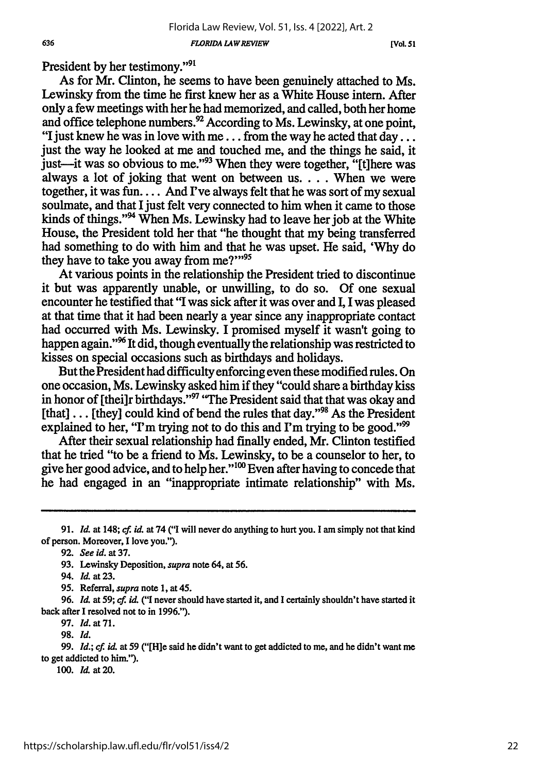**[Vol. 51**

President by her testimony."91

As for Mr. Clinton, he seems to have been genuinely attached to Ms. Lewinsky from the time he first knew her as a White House intern. After only a few meetings with her he had memorized, and called, both her home and office telephone numbers.<sup>92</sup> According to Ms. Lewinsky, at one point, "I just knew he was in love with me... from the way he acted that day... just the way he looked at me and touched me, and the things he said, it just the way to follow at the wase when they were together, "[t] here was always a lot of joking that went on between us.... When we were together, it was fun.... And I've always felt that he was sort of my sexual soulmate, and that I just felt very connected to him when it came to those kinds of things."<sup>94</sup> When Ms. Lewinsky had to leave her job at the White House, the President told her that "he thought that my being transferred had something to do with him and that he was upset. He said, 'Why do they have to take you away from  $me?$ "<sup>95</sup>

At various points in the relationship the President tried to discontinue it but was apparently unable, or unwilling, to do so. Of one sexual encounter he testified that "I was sick after it was over and I, I was pleased at that time that it had been nearly a year since any inappropriate contact had occurred with Ms. Lewinsky. I promised myself it wasn't going to happen again."<sup>96</sup> It did, though eventually the relationship was restricted to kisses on special occasions such as birthdays and holidays.

But the President had difficulty enforcing even these modified rules. On one occasion, Ms. Lewinsky asked him if they "could share a birthday kiss in honor of [theilr birthdays."<sup>97</sup> "The President said that that was okay and [that] ... [they] could kind of bend the rules that day."<sup>98</sup> As the President explained to her, "I'm trying not to do this and I'm trying to be good."<sup>99</sup>

After their sexual relationship had finally ended, Mr. Clinton testified that he tried "to be a friend to Ms. Lewinsky, to be a counselor to her, to give her good advice, and to help her."<sup>100</sup> Even after having to concede that he had engaged in an "inappropriate intimate relationship" with Ms.

96. Id. at 59; cf. id. ("I never should have started it, and I certainly shouldn't have started it back after I resolved not to in 1996.").

97. *Id.* at 71.

99. *Id.; cf. id.* at 59 ("[H]e said he didn't want to get addicted to me, and he didn't want me to get addicted to him.").

**100.** *Id.* at **20.**

**<sup>91.</sup>** *Id.* at 148; **cf.** *id.* at 74 **("I** will never do anything to hurt you. **I** am simply not that kind of person. Moreover, **I** love you.").

<sup>92.</sup> See id. at **37.**

<sup>93.</sup> Lewinsky Deposition, *supra* note 64, at 56.

<sup>94.</sup> *Id.* at **23.**

<sup>95.</sup> Referral, *supra* note 1, at 45.

**<sup>98.</sup>** *Id.*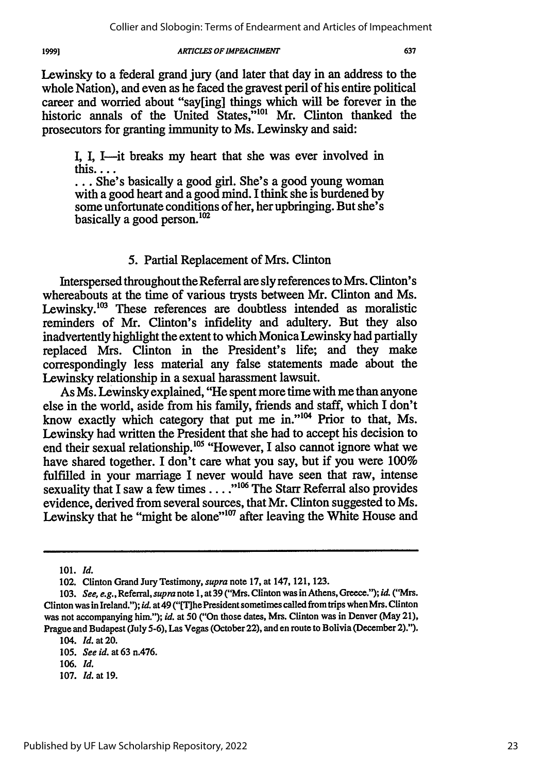1999]

#### *ARTICLES OF IMPEACHMENT*

**I, I,** I-it breaks my heart that she was ever involved in this....

prosecutors for granting immunity to Ms. Lewinsky and said:

**...** She's basically a good girl. She's a good young woman with a good heart and a good mind. I think she is burdened by some unfortunate conditions of her, her upbringing. But she's basically a good person.<sup>102</sup>

### 5. Partial Replacement of Mrs. Clinton

Interspersed throughout the Referral are sly references to Mrs. Clinton's whereabouts at the time of various trysts between Mr. Clinton and Ms. Lewinsky. $^{103}$  These references are doubtless intended as moralistic reminders of Mr. Clinton's infidelity and adultery. But they also inadvertently highlight the extent to which Monica Lewinsky had partially replaced Mrs. Clinton in the President's life; and they make correspondingly less material any false statements made about the Lewinsky relationship in a sexual harassment lawsuit.

As Ms. Lewinsky explained, "He spent more time with me than anyone else in the world, aside from his family, friends and staff, which I don't know exactly which category that put me in."104 Prior to that, Ms. Lewinsky had written the President that she had to accept his decision to end their sexual relationship.<sup>105</sup> "However, I also cannot ignore what we have shared together. I don't care what you say, but if you were 100% fulfilled in your marriage I never would have seen that raw, intense sexuality that I saw a few times . . . .<sup>"106</sup> The Starr Referral also provides evidence, derived from several sources, that Mr. Clinton suggested to Ms. Lewinsky that he "might be alone"<sup>107</sup> after leaving the White House and

<sup>101.</sup> *Id.*

<sup>102.</sup> Clinton Grand Jury Testimony, *supra* note 17, at 147, 121, 123.

<sup>103.</sup> *See, e.g.,* Referral, *supra* note 1, at 39 ("Mrs. Clinton was in Athens, Greece."); *id.* ("Mrs. Clinton was in Ireland."); *id.* at 49 ("[T]he President sometimes called from trips when Mrs. Clinton was not accompanying him."); *id.* at **50** ("On those dates, Mrs. Clinton was in Denver (May 21), Prague and Budapest (July **5-6),** Las Vegas (October 22), and en route to Bolivia (December 2).").

<sup>104.</sup> *Id.* at 20.

<sup>105.</sup> *See id.* at 63 n.476.

<sup>106.</sup> *Id.*

<sup>107.</sup> *Id.* at *19.*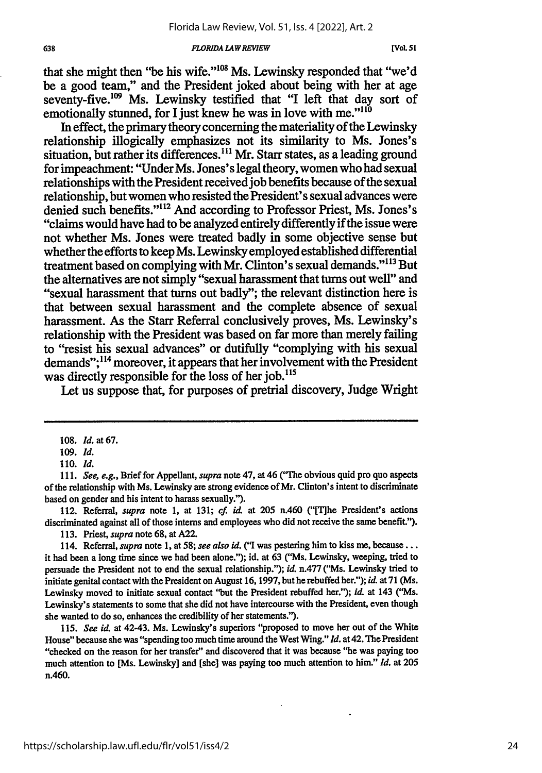that she might then "be his wife."<sup>108</sup> Ms. Lewinsky responded that "we'd be a good team," and the President joked about being with her at age seventy-five.<sup>109</sup> Ms. Lewinsky testified that "I left that day sort of emotionally stunned, for I just knew he was in love with me." $1^{10}$ 

In effect, the primary theory concerning the materiality of the Lewinsky relationship illogically emphasizes not its similarity to Ms. Jones's situation, but rather its differences.<sup>111</sup> Mr. Starr states, as a leading ground for impeachment: "Under Ms. Jones's legal theory, women who had sexual relationships with the President received job benefits because of the sexual relationship, but women who resisted the President's sexual advances were denied such benefits."<sup>112</sup> And according to Professor Priest, Ms. Jones's "claims would have had to be analyzed entirely differently if the issue were not whether Ms. Jones were treated badly in some objective sense but whether the efforts to keep Ms. Lewinsky employed established differential treatment based on complying with Mr. Clinton's sexual demands."113 But the alternatives are not simply "sexual harassment that turns out well" and "sexual harassment that turns out badly"; the relevant distinction here is that between sexual harassment and the complete absence of sexual harassment. As the Starr Referral conclusively proves, Ms. Lewinsky's relationship with the President was based on far more than merely failing to "resist his sexual advances" or dutifully "complying with his sexual demands";<sup>114</sup> moreover, it appears that her involvement with the President was directly responsible for the loss of her *job*.<sup>115</sup>

Let us suppose that, for purposes of pretrial discovery, Judge Wright

112. Referral, *supra* note **1,** at **131; cf.** *id.* at **205** n.460 **("['rhe** President's actions discriminated against all of those interns and employees who did not receive the same benefit.").

**113.** Priest, *supra* note **68,** at A22.

**115.** *See id.* at 42-43. Ms. Lewinsky's superiors "proposed to move her out of the White House" because she was "spending too much time around the West Wing." *Id.* at 42. **The** President "checked on the reason for her transfer" and discovered that it was because "he was paying **too** much attention to [Ms. Lewinsky] and [she] was paying **too** much attention to him." *Id.* at 205 n.460.

**<sup>108.</sup>** *Id.* at **67.**

*<sup>109.</sup> Id.*

**<sup>110.</sup>** *Id.*

*<sup>111.</sup> See, e.g.,* Brief for Appellant, *supra* note 47, at 46 **("The** obvious quid pro quo aspects of the relationship with Ms. Lewinsky are strong evidence of Mr. Clinton's intent to discriminate based on gender and his intent to harass sexually.").

<sup>114.</sup> Referral, *supra* note **1,** at **58;** *see also id.* **("I** was pestering him to kiss **me, beause...** it had been a long time since we had been alone."); id. at **63 ("Ms.** Lewinsky, weeping, tried to persuade the President not to end the sexual relationship."); **id.** n.477 **("Ms.** Lewinsky tried to initiate genital contact with the President on August **16,1997,** buthe rebuffed her."); *id* at **71** (Ms. Lewinsky moved to initiate sexual contact "but the President rebuffed her."); *id.* at 143 **("Ms.** Lewinsky's statements to some that she did not have intercourse with the President, even though she wanted to do so, enhances the credibility of her statements.").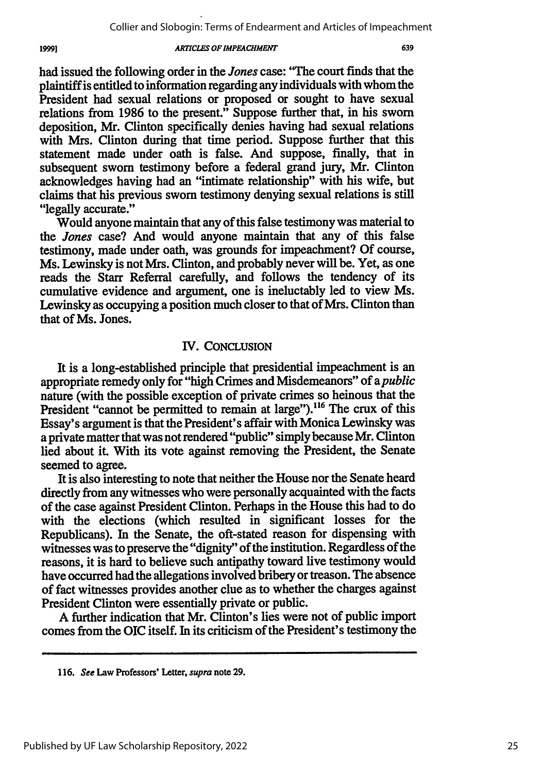had issued the following order in the *Jones* case: "The court finds that the plaintiffis entitled to information regarding any individuals with whom the President had sexual relations or proposed or sought to have sexual relations from **1986** to the present." Suppose further that, in his sworn deposition, Mr. Clinton specifically denies having had sexual relations with Mrs. Clinton during that time period. Suppose further that this statement made under oath is false. And suppose, finally, that in subsequent sworn testimony before a federal grand jury, Mr. Clinton acknowledges having had an "intimate relationship" with his wife, but claims that his previous sworn testimony denying sexual relations is still "legally accurate."

Would anyone maintain that any of this false testimony was material to *the Jones* case? And would anyone maintain that any of this false testimony, made under oath, was grounds for impeachment? **Of** course, Ms. Lewinsky is not Mrs. Clinton, and probably never **will** be. Yet, as one reads the Starr Referral carefully, and follows the tendency of its cumulative evidence and argument, one is ineluctably led to view Ms. Lewinsky as occupying a position much closer to that of Mrs. Clinton than that of Ms. Jones.

### **IV. CONCLUSION**

It is a long-established principle that presidential impeachment is an appropriate remedy only for "high Crimes and Misdemeanors" of *apublic* nature (with the possible exception of private crimes so heinous that the President "cannot be permitted to remain at large").<sup>116</sup> The crux of this Essay's argument is that the President's affair with Monica Lewinsky was a private matter that was not rendered "public" simply because Mr. Clinton lied about it. With its vote against removing the President, the Senate seemed to agree.

It is also interesting to note that neither the House nor the Senate heard directly from any witnesses who were personally acquainted with the facts of the case against President Clinton. Perhaps in the House this had to do with the elections (which resulted in significant losses for the Republicans). In the Senate, the oft-stated reason for dispensing with witnesses was to preserve the "dignity" of the institution. Regardless of the reasons, it is hard to believe such antipathy toward **live** testimony would have occurred had the allegations involved bribery or treason. The absence of fact witnesses provides another clue as to whether the charges against President Clinton were essentially private or public.

**A** further indication that Mr. Clinton's lies were not of public import comes from the **OIC** itself. In its criticism of the President's testimony the

**<sup>116.</sup>** *See* Law Professors' **Letter,** *supra* note **29.**